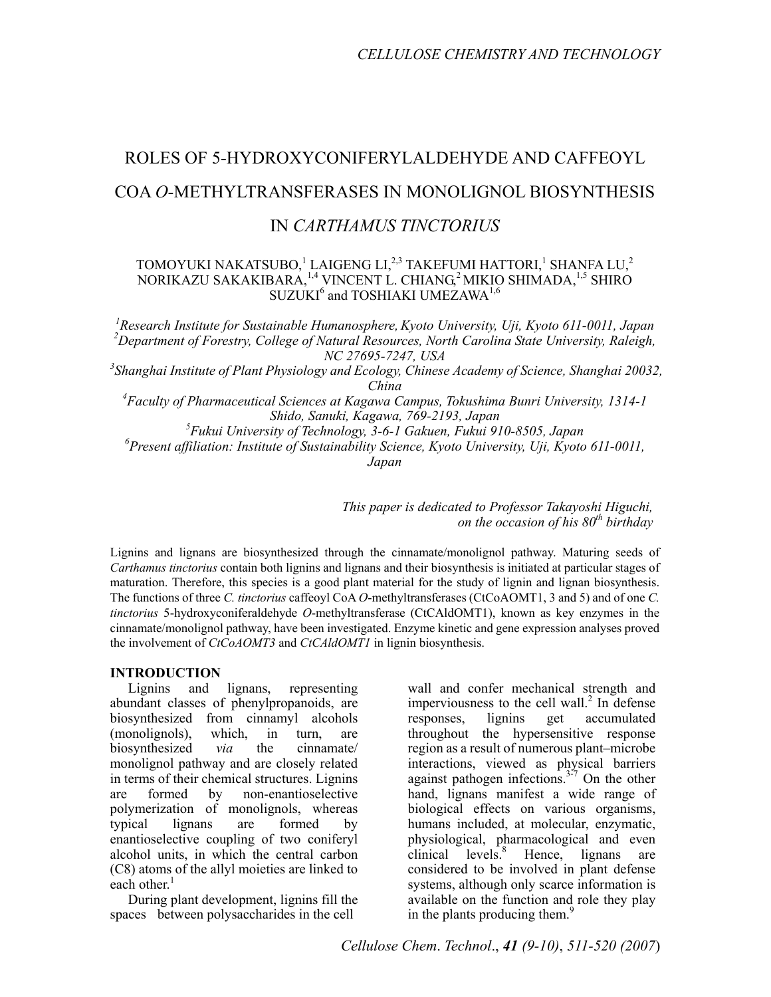# ROLES OF 5-HYDROXYCONIFERYLALDEHYDE AND CAFFEOYL COA *O*-METHYLTRANSFERASES IN MONOLIGNOL BIOSYNTHESIS

# IN *CARTHAMUS TINCTORIUS*

# TOMOYUKI NAKATSUBO, $^1$  LAIGENG LI, $^{2,3}$  TAKEFUMI HATTORI, $^1$  SHANFA LU, $^2$ NORIKAZU SAKAKIBARA, <sup>1,4</sup> VINCENT L. CHIANG,<sup>2</sup> MIKIO SHIMADA, <sup>1,5</sup> SHIRO SUZUKI<sup>6</sup> and TOSHIAKI UMEZAWA<sup>1,6</sup>

<sup>1</sup> Research Institute for Sustainable Humanosphere, Kyoto University, Uji, Kyoto 611-0011, Japan <sup>2</sup> Department of Forestry, College of Natural Besources, North Carolina State University, Balaigh *Department of Forestry, College of Natural Resources, North Carolina State University, Raleigh, NC 27695-7247, USA 3 Shanghai Institute of Plant Physiology and Ecology, Chinese Academy of Science, Shanghai 20032, China 4 Faculty of Pharmaceutical Sciences at Kagawa Campus, Tokushima Bunri University, 1314-1 Shido, Sanuki, Kagawa, 769-2193, Japan*  <sup>5</sup><br>*Fukui University of Technology, 3-6-1 Gakuen, Fukui 910-8505, Japan<sup>6</sup> Present affiliation: Institute of Sustainability Sajange, Kuato University Uji, Kuato Present affiliation: Institute of Sustainability Science, Kyoto University, Uji, Kyoto 611-0011, Japan* 

> *This paper is dedicated to Professor Takayoshi Higuchi, on the occasion of his 80<sup>th</sup> birthday*

Lignins and lignans are biosynthesized through the cinnamate/monolignol pathway. Maturing seeds of *Carthamus tinctorius* contain both lignins and lignans and their biosynthesis is initiated at particular stages of maturation. Therefore, this species is a good plant material for the study of lignin and lignan biosynthesis. The functions of three *C. tinctorius* caffeoyl CoA *O*-methyltransferases (CtCoAOMT1, 3 and 5) and of one *C*. *tinctorius* 5-hydroxyconiferaldehyde *O*-methyltransferase (CtCAldOMT1), known as key enzymes in the cinnamate/monolignol pathway, have been investigated. Enzyme kinetic and gene expression analyses proved the involvement of *CtCoAOMT3* and *CtCAldOMT1* in lignin biosynthesis.

# **INTRODUCTION**

Lignins and lignans, representing abundant classes of phenylpropanoids, are biosynthesized from cinnamyl alcohols (monolignols), which, in turn, are biosynthesized *via* the cinnamate/ monolignol pathway and are closely related in terms of their chemical structures. Lignins are formed by non-enantioselective polymerization of monolignols, whereas typical lignans are formed by enantioselective coupling of two coniferyl alcohol units, in which the central carbon (C8) atoms of the allyl moieties are linked to each other.<sup>1</sup>

During plant development, lignins fill the spaces between polysaccharides in the cell

wall and confer mechanical strength and imperviousness to the cell wall. $^{2}$  In defense responses, lignins get accumulated throughout the hypersensitive response region as a result of numerous plant–microbe interactions, viewed as physical barriers against pathogen infections.<sup>3-7</sup> On the other hand, lignans manifest a wide range of biological effects on various organisms, humans included, at molecular, enzymatic, physiological, pharmacological and even  $clinical$  levels. $8$  Hence, lignans are considered to be involved in plant defense systems, although only scarce information is available on the function and role they play in the plants producing them.<sup>9</sup>

*Cellulose Chem*. *Technol*., *41 (9-10)*, *511-520 (2007*)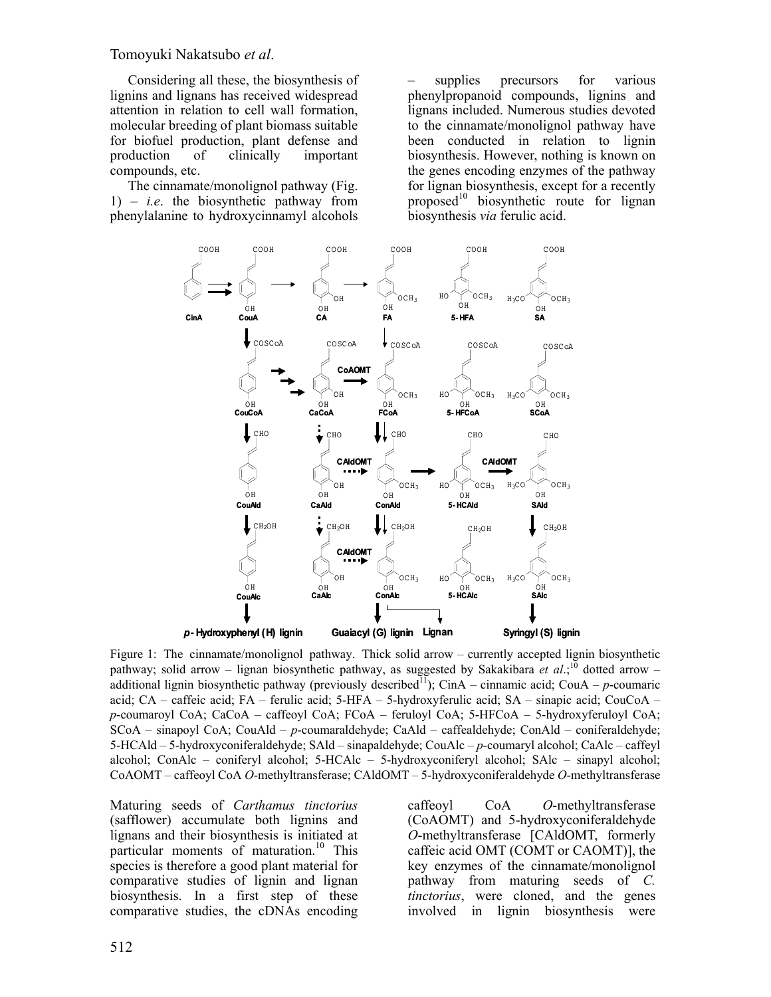Tomoyuki Nakatsubo *et al*.

Considering all these, the biosynthesis of lignins and lignans has received widespread attention in relation to cell wall formation, molecular breeding of plant biomass suitable for biofuel production, plant defense and production of clinically important compounds, etc.

The cinnamate/monolignol pathway (Fig. 1) – *i.e*. the biosynthetic pathway from phenylalanine to hydroxycinnamyl alcohols

supplies precursors for various phenylpropanoid compounds, lignins and lignans included. Numerous studies devoted to the cinnamate/monolignol pathway have been conducted in relation to lignin biosynthesis. However, nothing is known on the genes encoding enzymes of the pathway for lignan biosynthesis, except for a recently proposed<sup>10</sup> biosynthetic route for lignan biosynthesis *via* ferulic acid.



Figure 1: The cinnamate/monolignol pathway. Thick solid arrow – currently accepted lignin biosynthetic pathway; solid arrow – lignan biosynthetic pathway, as suggested by Sakakibara et al.;<sup>10</sup> dotted arrow – additional lignin biosynthetic pathway (previously described<sup>11</sup>); CinA – cinnamic acid; CouA – *p*-coumaric acid; CA – caffeic acid; FA – ferulic acid; 5-HFA – 5-hydroxyferulic acid; SA – sinapic acid; CouCoA – *p*-coumaroyl CoA; CaCoA – caffeoyl CoA; FCoA – feruloyl CoA; 5-HFCoA – 5-hydroxyferuloyl CoA; SCoA – sinapoyl CoA; CouAld – *p*-coumaraldehyde; CaAld – caffealdehyde; ConAld – coniferaldehyde; 5-HCAld – 5-hydroxyconiferaldehyde; SAld – sinapaldehyde; CouAlc – *p*-coumaryl alcohol; CaAlc – caffeyl alcohol; ConAlc – coniferyl alcohol; 5-HCAlc – 5-hydroxyconiferyl alcohol; SAlc – sinapyl alcohol; CoAOMT – caffeoyl CoA *O*-methyltransferase; CAldOMT – 5-hydroxyconiferaldehyde *O*-methyltransferase

Maturing seeds of *Carthamus tinctorius* (safflower) accumulate both lignins and lignans and their biosynthesis is initiated at particular moments of maturation.<sup>10</sup> This species is therefore a good plant material for comparative studies of lignin and lignan biosynthesis. In a first step of these comparative studies, the cDNAs encoding

caffeoyl CoA *O*-methyltransferase (CoAOMT) and 5-hydroxyconiferaldehyde *O*-methyltransferase [CAldOMT, formerly caffeic acid OMT (COMT or CAOMT)], the key enzymes of the cinnamate/monolignol pathway from maturing seeds of *C. tinctorius*, were cloned, and the genes involved in lignin biosynthesis were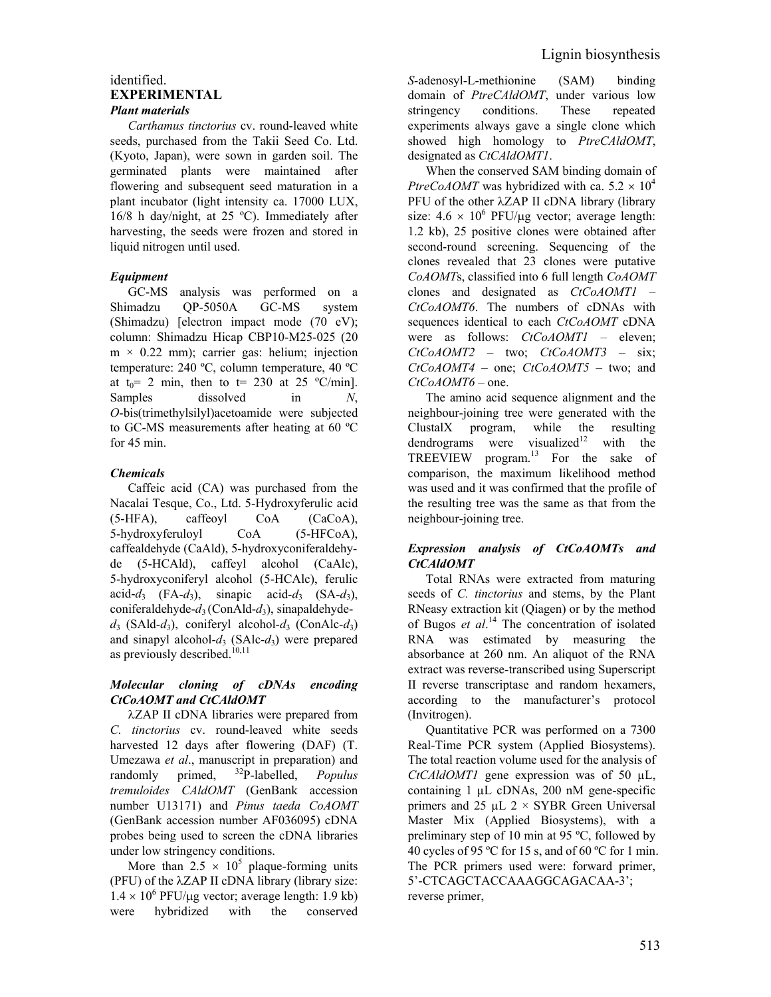#### identified. **EXPERIMENTAL**  *Plant materials*

*Carthamus tinctorius* cv. round-leaved white seeds, purchased from the Takii Seed Co. Ltd. (Kyoto, Japan), were sown in garden soil. The germinated plants were maintained after flowering and subsequent seed maturation in a plant incubator (light intensity ca. 17000 LUX, 16/8 h day/night, at 25 ºC). Immediately after harvesting, the seeds were frozen and stored in liquid nitrogen until used.

# *Equipment*

GC-MS analysis was performed on a Shimadzu QP-5050A GC-MS system (Shimadzu) [electron impact mode (70 eV); column: Shimadzu Hicap CBP10-M25-025 (20  $m \times 0.22$  mm); carrier gas: helium; injection temperature: 240 ºC, column temperature, 40 ºC at  $t_0$  = 2 min, then to t = 230 at 25 °C/min]. Samples dissolved in *N*, *O*-bis(trimethylsilyl)acetoamide were subjected to GC-MS measurements after heating at 60 ºC for 45 min.

# *Chemicals*

Caffeic acid (CA) was purchased from the Nacalai Tesque, Co., Ltd. 5-Hydroxyferulic acid (5-HFA), caffeoyl CoA (CaCoA), 5-hydroxyferuloyl CoA (5-HFCoA), caffealdehyde (CaAld), 5-hydroxyconiferaldehyde (5-HCAld), caffeyl alcohol (CaAlc), 5-hydroxyconiferyl alcohol (5-HCAlc), ferulic acid- $d_3$  (FA- $d_3$ ), sinapic acid- $d_3$  (SA- $d_3$ ), coniferaldehyde-*d*3 (ConAld-*d*3), sinapaldehyde $d_3$  (SAld- $d_3$ ), coniferyl alcohol- $d_3$  (ConAlc- $d_3$ ) and sinapyl alcohol- $d_3$  (SAlc- $d_3$ ) were prepared as previously described.<sup>10,11</sup>

# *Molecular cloning of cDNAs encoding CtCoAOMT and CtCAldOMT*

λZAP II cDNA libraries were prepared from *C. tinctorius* cv. round-leaved white seeds harvested 12 days after flowering (DAF) (T. Umezawa *et al*., manuscript in preparation) and randomly primed, 32P-labelled, *Populus tremuloides CAldOMT* (GenBank accession number U13171) and *Pinus taeda CoAOMT* (GenBank accession number AF036095) cDNA probes being used to screen the cDNA libraries under low stringency conditions.

More than  $2.5 \times 10^5$  plaque-forming units (PFU) of the λZAP II cDNA library (library size:  $1.4 \times 10^6$  PFU/µg vector; average length: 1.9 kb) were hybridized with the conserved

*S*-adenosyl-L-methionine (SAM) binding domain of *PtreCAldOMT*, under various low stringency conditions. These repeated experiments always gave a single clone which showed high homology to *PtreCAldOMT*, designated as *CtCAldOMT1*.

When the conserved SAM binding domain of *PtreCoAOMT* was hybridized with ca.  $5.2 \times 10^4$ PFU of the other λZAP II cDNA library (library size:  $4.6 \times 10^6$  PFU/µg vector; average length: 1.2 kb), 25 positive clones were obtained after second-round screening. Sequencing of the clones revealed that 23 clones were putative *CoAOMT*s, classified into 6 full length *CoAOMT* clones and designated as *CtCoAOMT1* – *CtCoAOMT6*. The numbers of cDNAs with sequences identical to each *CtCoAOMT* cDNA were as follows: *CtCoAOMT1* – eleven; *CtCoAOMT2* – two; *CtCoAOMT3* – six; *CtCoAOMT4* – one; *CtCoAOMT5* – two; and *CtCoAOMT6* – one.

The amino acid sequence alignment and the neighbour-joining tree were generated with the ClustalX program, while the resulting dendrograms were visualized<sup>12</sup> with the TREEVIEW program.13 For the sake of comparison, the maximum likelihood method was used and it was confirmed that the profile of the resulting tree was the same as that from the neighbour-joining tree.

# *Expression analysis of CtCoAOMTs and CtCAldOMT*

Total RNAs were extracted from maturing seeds of *C. tinctorius* and stems, by the Plant RNeasy extraction kit (Qiagen) or by the method of Bugos *et al*. 14 The concentration of isolated RNA was estimated by measuring the absorbance at 260 nm. An aliquot of the RNA extract was reverse-transcribed using Superscript II reverse transcriptase and random hexamers, according to the manufacturer's protocol (Invitrogen).

Quantitative PCR was performed on a 7300 Real-Time PCR system (Applied Biosystems). The total reaction volume used for the analysis of *CtCAldOMT1* gene expression was of 50 µL, containing 1 µL cDNAs, 200 nM gene-specific primers and 25  $\mu$ L 2 × SYBR Green Universal Master Mix (Applied Biosystems), with a preliminary step of 10 min at 95 ºC, followed by 40 cycles of 95 ºC for 15 s, and of 60 ºC for 1 min. The PCR primers used were: forward primer, 5'-CTCAGCTACCAAAGGCAGACAA-3'; reverse primer,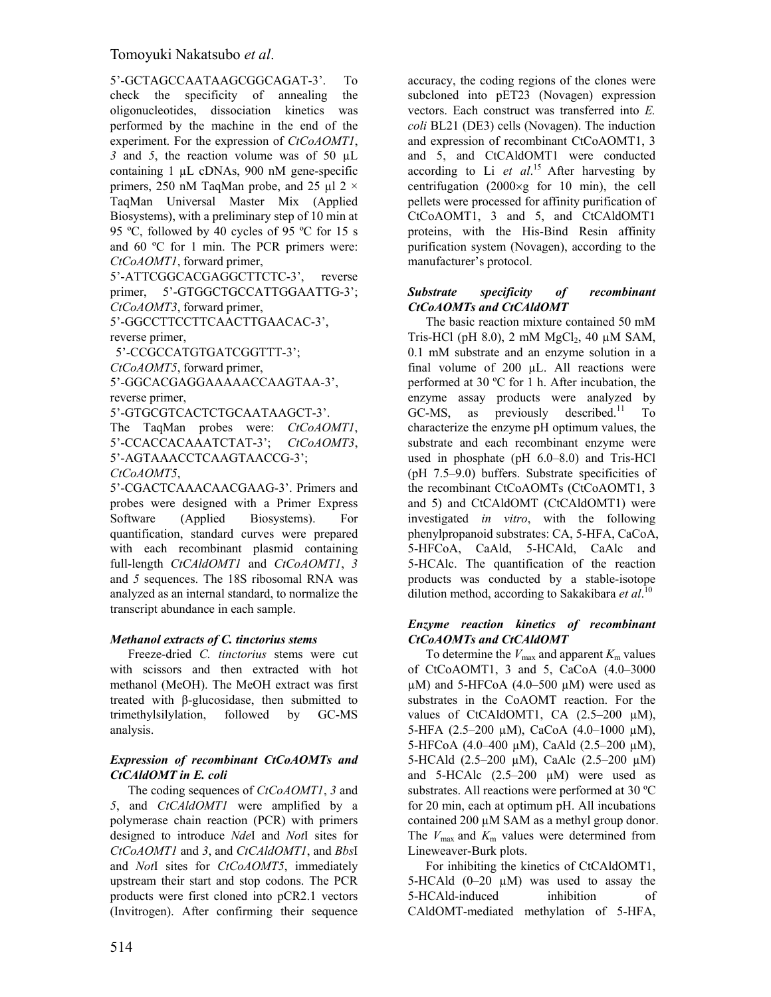5'-GCTAGCCAATAAGCGGCAGAT-3'. To check the specificity of annealing the oligonucleotides, dissociation kinetics was performed by the machine in the end of the experiment. For the expression of *CtCoAOMT1*, *3* and *5*, the reaction volume was of 50 µL containing 1 µL cDNAs, 900 nM gene-specific primers, 250 nM TaqMan probe, and 25 µl 2 × TaqMan Universal Master Mix (Applied Biosystems), with a preliminary step of 10 min at 95 ºC, followed by 40 cycles of 95 ºC for 15 s and 60 ºC for 1 min. The PCR primers were: *CtCoAOMT1*, forward primer,

5'-ATTCGGCACGAGGCTTCTC-3', reverse primer, 5'-GTGGCTGCCATTGGAATTG-3'; *CtCoAOMT3*, forward primer,

5'-GGCCTTCCTTCAACTTGAACAC-3', reverse primer,

5'-CCGCCATGTGATCGGTTT-3';

*CtCoAOMT5*, forward primer,

5'-GGCACGAGGAAAAACCAAGTAA-3', reverse primer,

5'-GTGCGTCACTCTGCAATAAGCT-3'.

The TaqMan probes were: *CtCoAOMT1*, 5'-CCACCACAAATCTAT-3'; *CtCoAOMT3*, 5'-AGTAAACCTCAAGTAACCG-3'; *CtCoAOMT5*,

5'-CGACTCAAACAACGAAG-3'. Primers and probes were designed with a Primer Express Software (Applied Biosystems). For quantification, standard curves were prepared with each recombinant plasmid containing full-length *CtCAldOMT1* and *CtCoAOMT1*, *3*  and *5* sequences. The 18S ribosomal RNA was analyzed as an internal standard, to normalize the transcript abundance in each sample.

# *Methanol extracts of C. tinctorius stems*

Freeze-dried *C. tinctorius* stems were cut with scissors and then extracted with hot methanol (MeOH). The MeOH extract was first treated with β-glucosidase, then submitted to trimethylsilylation, followed by GC-MS analysis.

# *Expression of recombinant CtCoAOMTs and CtCAldOMT in E. coli*

The coding sequences of *CtCoAOMT1*, *3* and *5*, and *CtCAldOMT1* were amplified by a polymerase chain reaction (PCR) with primers designed to introduce *Nde*I and *Not*I sites for *CtCoAOMT1* and *3*, and *CtCAldOMT1*, and *Bbs*I and *Not*I sites for *CtCoAOMT5*, immediately upstream their start and stop codons. The PCR products were first cloned into pCR2.1 vectors (Invitrogen). After confirming their sequence accuracy, the coding regions of the clones were subcloned into pET23 (Novagen) expression vectors. Each construct was transferred into *E. coli* BL21 (DE3) cells (Novagen). The induction and expression of recombinant CtCoAOMT1, 3 and 5, and CtCAldOMT1 were conducted according to Li *et al*. 15 After harvesting by centrifugation (2000×g for 10 min), the cell pellets were processed for affinity purification of CtCoAOMT1, 3 and 5, and CtCAldOMT1 proteins, with the His-Bind Resin affinity purification system (Novagen), according to the manufacturer's protocol.

# *Substrate specificity of recombinant CtCoAOMTs and CtCAldOMT*

The basic reaction mixture contained 50 mM Tris-HCl (pH 8.0), 2 mM  $MgCl<sub>2</sub>$ , 40 µM SAM, 0.1 mM substrate and an enzyme solution in a final volume of  $200 \mu L$ . All reactions were performed at 30 ºC for 1 h. After incubation, the enzyme assay products were analyzed by  $GC-MS$ , as previously described.<sup>11</sup> To characterize the enzyme pH optimum values, the substrate and each recombinant enzyme were used in phosphate (pH 6.0–8.0) and Tris-HCl (pH 7.5–9.0) buffers. Substrate specificities of the recombinant CtCoAOMTs (CtCoAOMT1, 3 and 5) and CtCAldOMT (CtCAldOMT1) were investigated *in vitro*, with the following phenylpropanoid substrates: CA, 5-HFA, CaCoA, 5-HFCoA, CaAld, 5-HCAld, CaAlc and 5-HCAlc. The quantification of the reaction products was conducted by a stable-isotope dilution method, according to Sakakibara *et al*. 10

#### *Enzyme reaction kinetics of recombinant CtCoAOMTs and CtCAldOMT*

To determine the  $V_{\text{max}}$  and apparent  $K_{\text{m}}$  values of CtCoAOMT1, 3 and 5, CaCoA (4.0–3000  $\mu$ M) and 5-HFCoA (4.0–500  $\mu$ M) were used as substrates in the CoAOMT reaction. For the values of CtCAldOMT1, CA  $(2.5-200 \mu M)$ , 5-HFA (2.5–200 µM), CaCoA (4.0–1000 µM), 5-HFCoA (4.0–400 µM), CaAld (2.5–200 µM), 5-HCAld (2.5–200 µM), CaAlc (2.5–200 µM) and 5-HCAlc  $(2.5-200 \mu M)$  were used as substrates. All reactions were performed at 30 ºC for 20 min, each at optimum pH. All incubations contained 200 µM SAM as a methyl group donor. The  $V_{\text{max}}$  and  $K_{\text{m}}$  values were determined from Lineweaver-Burk plots.

For inhibiting the kinetics of CtCAldOMT1, 5-HCAld  $(0-20 \mu M)$  was used to assay the 5-HCAld-induced inhibition of CAldOMT-mediated methylation of 5-HFA,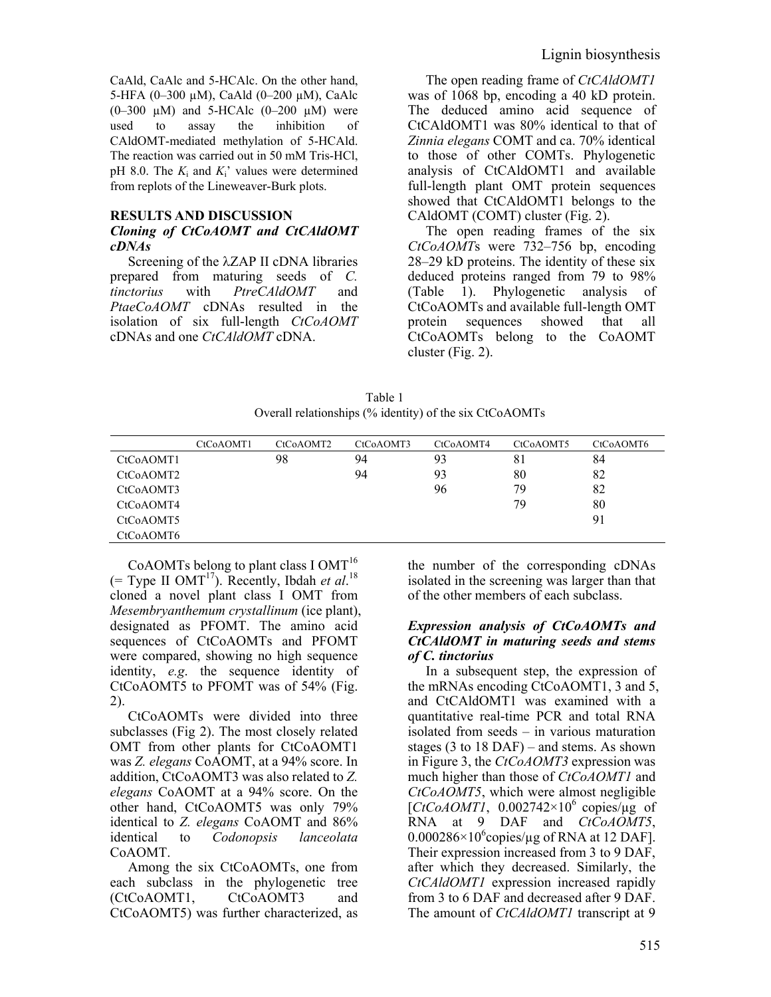CaAld, CaAlc and 5-HCAlc. On the other hand, 5-HFA (0–300 µM), CaAld (0–200 µM), CaAlc (0–300  $\mu$ M) and 5-HCAlc (0–200  $\mu$ M) were used to assay the inhibition of CAldOMT-mediated methylation of 5-HCAld. The reaction was carried out in 50 mM Tris-HCl, pH 8.0. The  $K_i$  and  $K_i$ ' values were determined from replots of the Lineweaver-Burk plots.

#### **RESULTS AND DISCUSSION**

# *Cloning of CtCoAOMT and CtCAldOMT cDNAs*

Screening of the λZAP II cDNA libraries prepared from maturing seeds of *C. tinctorius* with *PtreCAldOMT* and *PtaeCoAOMT* cDNAs resulted in the isolation of six full-length *CtCoAOMT*  cDNAs and one *CtCAldOMT* cDNA.

The open reading frame of *CtCAldOMT1* was of 1068 bp, encoding a 40 kD protein. The deduced amino acid sequence of CtCAldOMT1 was 80% identical to that of *Zinnia elegans* COMT and ca. 70% identical to those of other COMTs. Phylogenetic analysis of CtCAldOMT1 and available full-length plant OMT protein sequences showed that CtCAldOMT1 belongs to the CAldOMT (COMT) cluster (Fig. 2).

The open reading frames of the six *CtCoAOMT*s were 732–756 bp, encoding 28–29 kD proteins. The identity of these six deduced proteins ranged from 79 to 98% (Table 1). Phylogenetic analysis of CtCoAOMTs and available full-length OMT protein sequences showed that all CtCoAOMTs belong to the CoAOMT cluster (Fig. 2).

| Table 1                                                 |
|---------------------------------------------------------|
| Overall relationships (% identity) of the six CtCoAOMTs |

|           | CtCoAOMT1 | CtCoAOMT2 | CtCoAOMT3 | CtCoAOMT4 | CtCoAOMT5 | CtCoAOMT6 |
|-----------|-----------|-----------|-----------|-----------|-----------|-----------|
| CtCoAOMT1 |           | 98        | 94        | 93        | 81        | 84        |
| CtCoAOMT2 |           |           | 94        | 93        | 80        | 82        |
| CtCoAOMT3 |           |           |           | 96        | 79        | 82        |
| CtCoAOMT4 |           |           |           |           | 79        | 80        |
| CtCoAOMT5 |           |           |           |           |           | 91        |
| CtCoAOMT6 |           |           |           |           |           |           |

CoAOMTs belong to plant class I OMT<sup>16</sup>  $($  = Type II OMT<sup>17</sup>). Recently, Ibdah *et al.*<sup>18</sup> cloned a novel plant class I OMT from *Mesembryanthemum crystallinum* (ice plant), designated as PFOMT. The amino acid sequences of CtCoAOMTs and PFOMT were compared, showing no high sequence identity, *e.g*. the sequence identity of CtCoAOMT5 to PFOMT was of 54% (Fig. 2).

CtCoAOMTs were divided into three subclasses (Fig 2). The most closely related OMT from other plants for CtCoAOMT1 was *Z. elegans* CoAOMT, at a 94% score. In addition, CtCoAOMT3 was also related to *Z. elegans* CoAOMT at a 94% score. On the other hand, CtCoAOMT5 was only 79% identical to *Z. elegans* CoAOMT and 86% identical to *Codonopsis lanceolata* CoAOMT.

Among the six CtCoAOMTs, one from each subclass in the phylogenetic tree (CtCoAOMT1, CtCoAOMT3 and CtCoAOMT5) was further characterized, as

the number of the corresponding cDNAs isolated in the screening was larger than that of the other members of each subclass.

#### *Expression analysis of CtCoAOMTs and CtCAldOMT in maturing seeds and stems of C. tinctorius*

In a subsequent step, the expression of the mRNAs encoding CtCoAOMT1, 3 and 5, and CtCAldOMT1 was examined with a quantitative real-time PCR and total RNA isolated from seeds – in various maturation stages (3 to 18 DAF) – and stems. As shown in Figure 3, the *CtCoAOMT3* expression was much higher than those of *CtCoAOMT1* and *CtCoAOMT5*, which were almost negligible [ $CtCoAOMTI$ , 0.002742×10<sup>6</sup> copies/ $\mu$ g of RNA at 9 DAF and *CtCoAOMT5*,  $0.000286 \times 10^6$ copies/µg of RNA at 12 DAF]. Their expression increased from 3 to 9 DAF, after which they decreased. Similarly, the *CtCAldOMT1* expression increased rapidly from 3 to 6 DAF and decreased after 9 DAF. The amount of *CtCAldOMT1* transcript at 9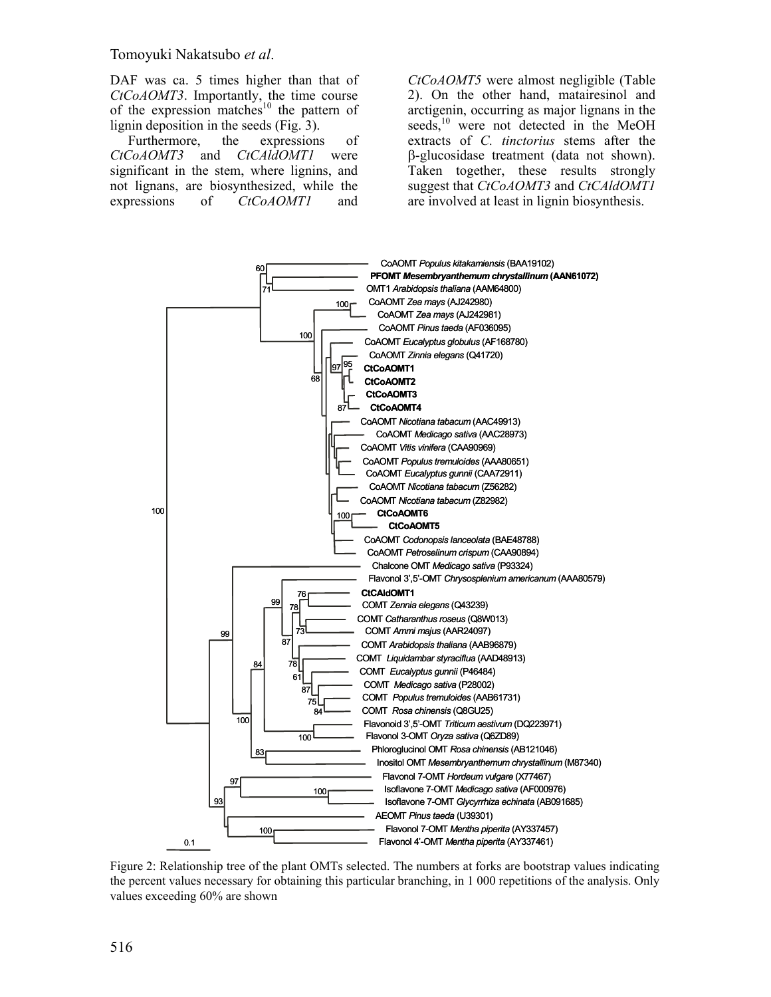Tomoyuki Nakatsubo *et al*.

DAF was ca. 5 times higher than that of *CtCoAOMT3*. Importantly, the time course of the expression matches<sup>10</sup> the pattern of lignin deposition in the seeds (Fig. 3).

Furthermore, the expressions of *CtCoAOMT3* and *CtCAldOMT1* were significant in the stem, where lignins, and not lignans, are biosynthesized, while the expressions of *CtCoAOMT1* and

*CtCoAOMT5* were almost negligible (Table 2). On the other hand, matairesinol and arctigenin, occurring as major lignans in the seeds,<sup>10</sup> were not detected in the MeOH extracts of *C. tinctorius* stems after the β-glucosidase treatment (data not shown). Taken together, these results strongly suggest that *CtCoAOMT3* and *CtCAldOMT1* are involved at least in lignin biosynthesis.



Figure 2: Relationship tree of the plant OMTs selected. The numbers at forks are bootstrap values indicating the percent values necessary for obtaining this particular branching, in 1 000 repetitions of the analysis. Only values exceeding 60% are shown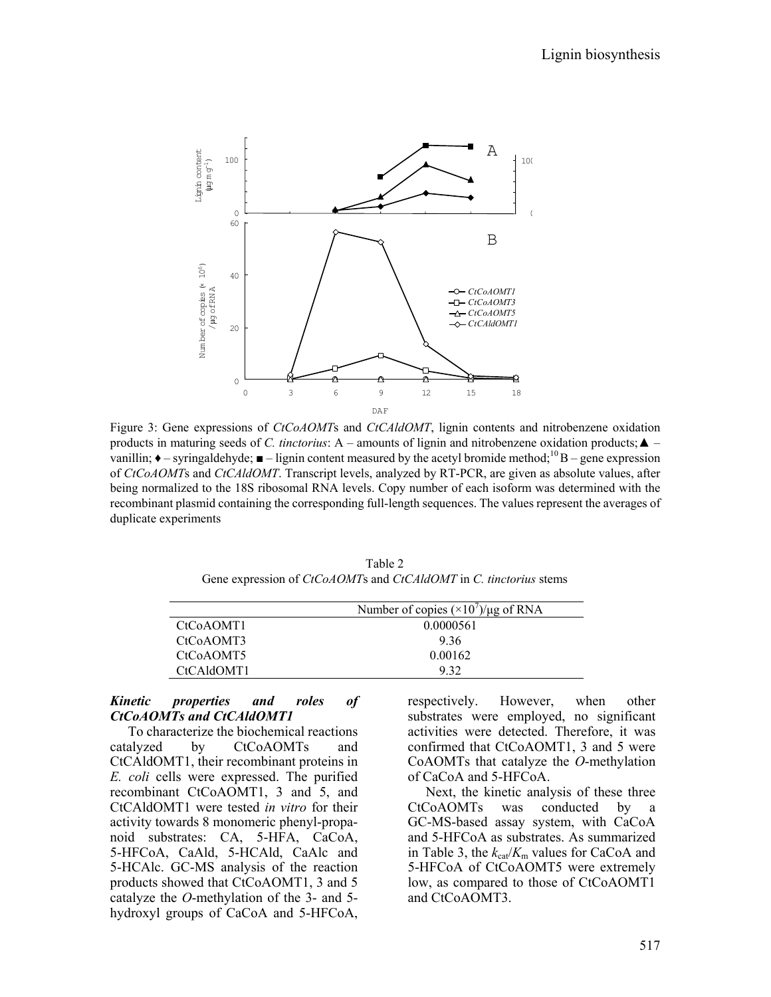

Figure 3: Gene expressions of *CtCoAOMT*s and *CtCAldOMT*, lignin contents and nitrobenzene oxidation products in maturing seeds of *C. tinctorius*: A – amounts of lignin and nitrobenzene oxidation products;  $\triangle$  – vanillin;  $\triangle$  – syringaldehyde;  $\blacksquare$  – lignin content measured by the acetyl bromide method;  $^{10}$  B – gene expression of *CtCoAOMT*s and *CtCAldOMT*. Transcript levels, analyzed by RT-PCR, are given as absolute values, after being normalized to the 18S ribosomal RNA levels. Copy number of each isoform was determined with the recombinant plasmid containing the corresponding full-length sequences. The values represent the averages of duplicate experiments

Table 2 Gene expression of *CtCoAOMT*s and *CtCAldOMT* in *C. tinctorius* stems

|                        | Number of copies $(\times 10^7)/\mu$ g of RNA |
|------------------------|-----------------------------------------------|
| CtC <sub>0</sub> AOMT1 | 0.0000561                                     |
| CtC <sub>0</sub> AOMT3 | 936                                           |
| CtCoAOMT5              | 0.00162                                       |
| CtCAldOMT1             | 932                                           |

#### *Kinetic properties and roles of CtCoAOMTs and CtCAldOMT1*

To characterize the biochemical reactions catalyzed by CtCoAOMTs and CtCAldOMT1, their recombinant proteins in *E. coli* cells were expressed. The purified recombinant CtCoAOMT1, 3 and 5, and CtCAldOMT1 were tested *in vitro* for their activity towards 8 monomeric phenyl-propanoid substrates: CA, 5-HFA, CaCoA, 5-HFCoA, CaAld, 5-HCAld, CaAlc and 5-HCAlc. GC-MS analysis of the reaction products showed that CtCoAOMT1, 3 and 5 catalyze the *O*-methylation of the 3- and 5 hydroxyl groups of CaCoA and 5-HFCoA,

respectively. However, when other substrates were employed, no significant activities were detected. Therefore, it was confirmed that CtCoAOMT1, 3 and 5 were CoAOMTs that catalyze the *O*-methylation of CaCoA and 5-HFCoA.

Next, the kinetic analysis of these three CtCoAOMTs was conducted by a GC-MS-based assay system, with CaCoA and 5-HFCoA as substrates. As summarized in Table 3, the  $k_{cat}/K_m$  values for CaCoA and 5-HFCoA of CtCoAOMT5 were extremely low, as compared to those of CtCoAOMT1 and CtCoAOMT3.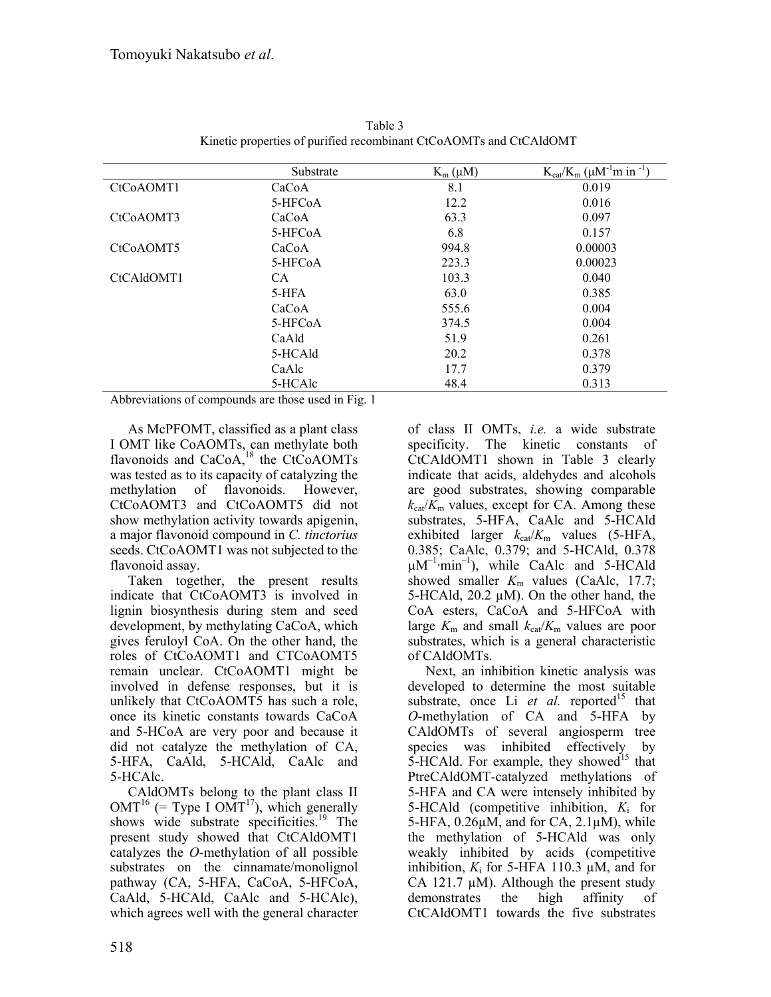|                        | Substrate | $K_m(\mu M)$ | $K_{cat}/K_m$ ( $\mu$ M <sup>-1</sup> m in <sup>-1</sup> ) |
|------------------------|-----------|--------------|------------------------------------------------------------|
| CtCoAOMT1              | CaCoA     | 8.1          | 0.019                                                      |
|                        | 5-HFCoA   | 12.2         | 0.016                                                      |
| CtC <sub>o</sub> AOMT3 | CaCoA     | 63.3         | 0.097                                                      |
|                        | 5-HFCoA   | 6.8          | 0.157                                                      |
| CtC <sub>o</sub> AOMT5 | CaCoA     | 994.8        | 0.00003                                                    |
|                        | 5-HFCoA   | 223.3        | 0.00023                                                    |
| CtCAldOMT1             | CA.       | 103.3        | 0.040                                                      |
|                        | 5-HFA     | 63.0         | 0.385                                                      |
|                        | CaCoA     | 555.6        | 0.004                                                      |
|                        | 5-HFCoA   | 374.5        | 0.004                                                      |
|                        | CaAld     | 51.9         | 0.261                                                      |
|                        | 5-HCAld   | 20.2         | 0.378                                                      |
|                        | CaAlc     | 17.7         | 0.379                                                      |
|                        | 5-HCAlc   | 48.4         | 0.313                                                      |

Table 3 Kinetic properties of purified recombinant CtCoAOMTs and CtCAldOMT

Abbreviations of compounds are those used in Fig. 1

As McPFOMT, classified as a plant class I OMT like CoAOMTs, can methylate both flavonoids and  $CaCoA<sub>18</sub><sup>18</sup>$  the CtCoAOMTs was tested as to its capacity of catalyzing the methylation of flavonoids. However, CtCoAOMT3 and CtCoAOMT5 did not show methylation activity towards apigenin, a major flavonoid compound in *C. tinctorius*  seeds. CtCoAOMT1 was not subjected to the flavonoid assay.

Taken together, the present results indicate that CtCoAOMT3 is involved in lignin biosynthesis during stem and seed development, by methylating CaCoA, which gives feruloyl CoA. On the other hand, the roles of CtCoAOMT1 and CTCoAOMT5 remain unclear. CtCoAOMT1 might be involved in defense responses, but it is unlikely that CtCoAOMT5 has such a role, once its kinetic constants towards CaCoA and 5-HCoA are very poor and because it did not catalyze the methylation of CA, 5-HFA, CaAld, 5-HCAld, CaAlc and 5-HCAlc.

CAldOMTs belong to the plant class II  $OMT^{16}$  (= Type I OMT<sup>17</sup>), which generally shows wide substrate specificities.<sup>19</sup> The present study showed that CtCAldOMT1 catalyzes the *O*-methylation of all possible substrates on the cinnamate/monolignol pathway (CA, 5-HFA, CaCoA, 5-HFCoA, CaAld, 5-HCAld, CaAlc and 5-HCAlc), which agrees well with the general character

of class II OMTs, *i.e.* a wide substrate specificity. The kinetic constants of CtCAldOMT1 shown in Table 3 clearly indicate that acids, aldehydes and alcohols are good substrates, showing comparable  $k_{\text{cat}}/K_{\text{m}}$  values, except for CA. Among these substrates, 5-HFA, CaAlc and 5-HCAld exhibited larger  $k_{cat}/K_m$  values (5-HFA, 0.385; CaAlc, 0.379; and 5-HCAld, 0.378  $\mu$ M<sup>-1</sup>·min<sup>-1</sup>), while CaAlc and 5-HCAld showed smaller  $K_m$  values (CaAlc, 17.7; 5-HCAld, 20.2 µM). On the other hand, the CoA esters, CaCoA and 5-HFCoA with large  $K_{\rm m}$  and small  $k_{\rm cat}/K_{\rm m}$  values are poor substrates, which is a general characteristic of CAldOMTs.

Next, an inhibition kinetic analysis was developed to determine the most suitable substrate, once Li  $et$  al. reported<sup>15</sup> that *O*-methylation of CA and 5-HFA by CAldOMTs of several angiosperm tree species was inhibited effectively by  $5$ -HCAld. For example, they showed<sup>15</sup> that PtreCAldOMT-catalyzed methylations of 5-HFA and CA were intensely inhibited by 5-HCAld (competitive inhibition, *K*i for 5-HFA,  $0.26\mu$ M, and for CA,  $2.1\mu$ M), while the methylation of 5-HCAld was only weakly inhibited by acids (competitive inhibition,  $K_i$  for 5-HFA 110.3  $\mu$ M, and for CA 121.7  $\mu$ M). Although the present study demonstrates the high affinity of CtCAldOMT1 towards the five substrates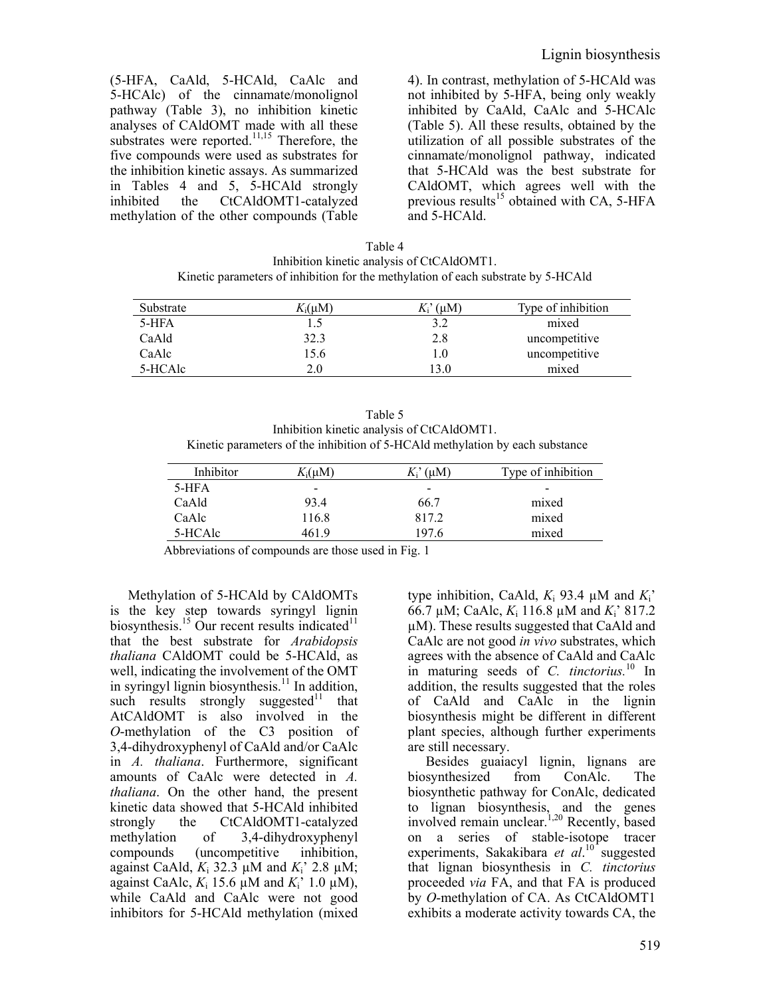(5-HFA, CaAld, 5-HCAld, CaAlc and 5-HCAlc) of the cinnamate/monolignol pathway (Table 3), no inhibition kinetic analyses of CAldOMT made with all these substrates were reported. $11,15$  Therefore, the five compounds were used as substrates for the inhibition kinetic assays. As summarized in Tables 4 and 5, 5-HCAld strongly inhibited the CtCAldOMT1-catalyzed methylation of the other compounds (Table 4). In contrast, methylation of 5-HCAld was not inhibited by 5-HFA, being only weakly inhibited by CaAld, CaAlc and 5-HCAlc (Table 5). All these results, obtained by the utilization of all possible substrates of the cinnamate/monolignol pathway, indicated that 5-HCAld was the best substrate for CAldOMT, which agrees well with the previous results<sup>15</sup> obtained with CA, 5-HFA and 5-HCAld.

| Table 4                                                                           |
|-----------------------------------------------------------------------------------|
| Inhibition kinetic analysis of CtCAldOMT1.                                        |
| Kinetic parameters of inhibition for the methylation of each substrate by 5-HCAld |

| Substrate | $K_i(\mu M)$ | $K_i^{\prime}(\mu M)$ | Type of inhibition |
|-----------|--------------|-----------------------|--------------------|
| 5-HFA     |              | 3.2                   | mixed              |
| CaAld     | 32.3         | 2.8                   | uncompetitive      |
| CaAlc     | 15.6         | l.O                   | uncompetitive      |
| 5-HCAlc   | 2.0          | 3.0                   | mixed              |

Table 5 Inhibition kinetic analysis of CtCAldOMT1. Kinetic parameters of the inhibition of 5-HCAld methylation by each substance

| Inhibitor | $K_i(\mu M)$ | $K_i^{\prime}$ (uM)      | Type of inhibition |
|-----------|--------------|--------------------------|--------------------|
| 5-HFA     | $\,$         | $\overline{\phantom{0}}$ |                    |
| CaAld     | 93.4         | 66.7                     | mixed              |
| CaAlc     | 116.8        | 817.2                    | mixed              |
| 5-HCAlc   | 461 9        | 197 6                    | mixed              |

Abbreviations of compounds are those used in Fig. 1

Methylation of 5-HCAld by CAldOMTs is the key step towards syringyl lignin biosynthesis.<sup>15</sup> Our recent results indicated<sup>11</sup> that the best substrate for *Arabidopsis thaliana* CAldOMT could be 5-HCAld, as well, indicating the involvement of the OMT in syringyl lignin biosynthesis.<sup>11</sup> In addition, such results strongly suggested $11$  that AtCAldOMT is also involved in the *O*-methylation of the C3 position of 3,4-dihydroxyphenyl of CaAld and/or CaAlc in *A. thaliana*. Furthermore, significant amounts of CaAlc were detected in *A. thaliana*. On the other hand, the present kinetic data showed that 5-HCAld inhibited strongly the CtCAldOMT1-catalyzed methylation of 3,4-dihydroxyphenyl compounds (uncompetitive inhibition, against CaAld,  $K_i$  32.3  $\mu$ M and  $K_i$ <sup>2</sup> 2.8  $\mu$ M; against CaAlc,  $K_i$  15.6  $\mu$ M and  $K_i$ <sup>'</sup> 1.0  $\mu$ M), while CaAld and CaAlc were not good inhibitors for 5-HCAld methylation (mixed

type inhibition, CaAld,  $K_i$  93.4  $\mu$ M and  $K_i'$ 66.7 µM; CaAlc, *K*i 116.8 µM and *K*i' 817.2 µM). These results suggested that CaAld and CaAlc are not good *in vivo* substrates, which agrees with the absence of CaAld and CaAlc in maturing seeds of *C. tinctorius.*10 In addition, the results suggested that the roles of CaAld and CaAlc in the lignin biosynthesis might be different in different plant species, although further experiments are still necessary.

Besides guaiacyl lignin, lignans are biosynthesized from ConAlc. The biosynthetic pathway for ConAlc, dedicated to lignan biosynthesis, and the genes involved remain unclear.<sup>1,20</sup> Recently, based on a series of stable-isotope tracer experiments, Sakakibara *et al*.<sup>10</sup> suggested that lignan biosynthesis in *C. tinctorius* proceeded *via* FA, and that FA is produced by *O*-methylation of CA. As CtCAldOMT1 exhibits a moderate activity towards CA, the